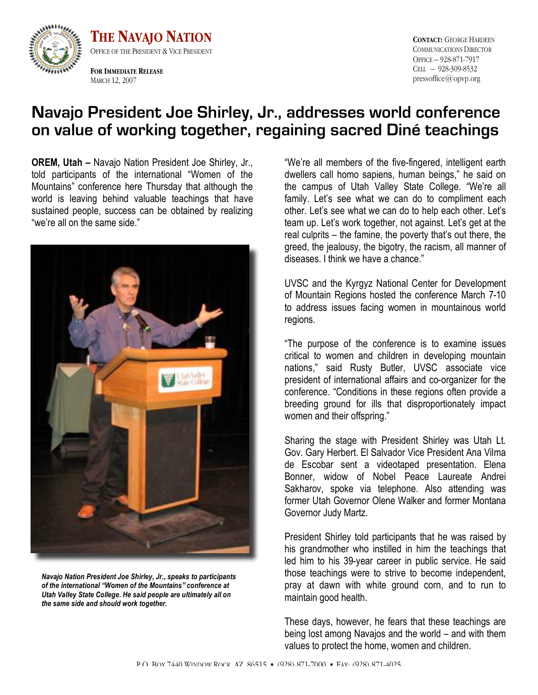

**THE NAVAJO NATION** OFFICE OF THE PRESIDENT & VICE PRESIDENT

**FOR IMMEDIATE RELEASE** MARCH 12, 2007

**CONTACT:** GEORGE HARDEEN COMMUNICATIONS DIRECTOR OFFICE – 928-871-7917 CELL – 928-309-8532 pressoffice@opvp.org

## **Navajo President Joe Shirley, Jr., addresses world conference on value of working together, regaining sacred Diné teachings**

**OREM, Utah –** Navajo Nation President Joe Shirley, Jr., told participants of the international "Women of the Mountains" conference here Thursday that although the world is leaving behind valuable teachings that have sustained people, success can be obtained by realizing "we're all on the same side."



*Navajo Nation President Joe Shirley, Jr., speaks to participants of the international "Women of the Mountains" conference at Utah Valley State College. He said people are ultimately all on the same side and should work together.*

"We're all members of the five-fingered, intelligent earth dwellers call homo sapiens, human beings," he said on the campus of Utah Valley State College. "We're all family. Let's see what we can do to compliment each other. Let's see what we can do to help each other. Let's team up. Let's work together, not against. Let's get at the real culprits – the famine, the poverty that's out there, the greed, the jealousy, the bigotry, the racism, all manner of diseases. I think we have a chance."

UVSC and the Kyrgyz National Center for Development of Mountain Regions hosted the conference March 7-10 to address issues facing women in mountainous world regions.

"The purpose of the conference is to examine issues critical to women and children in developing mountain nations," said Rusty Butler, UVSC associate vice president of international affairs and co-organizer for the conference. "Conditions in these regions often provide a breeding ground for ills that disproportionately impact women and their offspring."

Sharing the stage with President Shirley was Utah Lt. Gov. Gary Herbert. El Salvador Vice President Ana Vilma de Escobar sent a videotaped presentation. Elena Bonner, widow of Nobel Peace Laureate Andrei Sakharov, spoke via telephone. Also attending was former Utah Governor Olene Walker and former Montana Governor Judy Martz.

President Shirley told participants that he was raised by his grandmother who instilled in him the teachings that led him to his 39-year career in public service. He said those teachings were to strive to become independent, pray at dawn with white ground corn, and to run to maintain good health.

These days, however, he fears that these teachings are being lost among Navajos and the world – and with them values to protect the home, women and children.